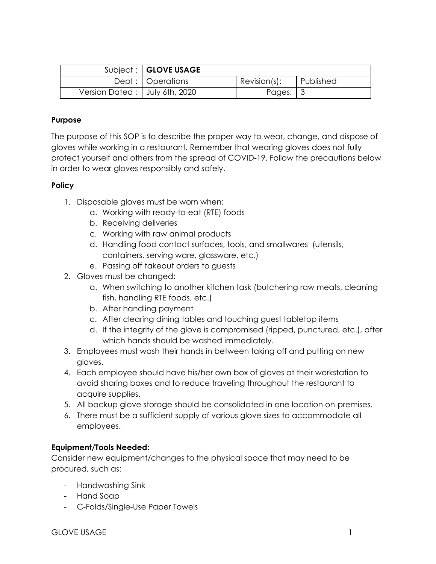|                                  | Subject:   GLOVE USAGE |                          |             |
|----------------------------------|------------------------|--------------------------|-------------|
|                                  | Dept:   Operations     | Revision(s):             | l Published |
| Version Dated :   July 6th, 2020 |                        | Pages: $\vert 3 \rangle$ |             |

## **Purpose**

The purpose of this SOP is to describe the proper way to wear, change, and dispose of gloves while working in a restaurant. Remember that wearing gloves does not fully protect yourself and others from the spread of COVID-19. Follow the precautions below in order to wear gloves responsibly and safely.

#### **Policy**

- 1. Disposable gloves must be worn when:
	- a. Working with ready-to-eat (RTE) foods
	- b. Receiving deliveries
	- c. Working with raw animal products
	- d. Handling food contact surfaces, tools, and smallwares (utensils, containers, serving ware, glassware, etc.)
	- e. Passing off takeout orders to guests
- 2. Gloves must be changed:
	- a. When switching to another kitchen task (butchering raw meats, cleaning fish, handling RTE foods, etc.)
	- b. After handling payment
	- c. After clearing dining tables and touching guest tabletop items
	- d. If the integrity of the glove is compromised (ripped, punctured, etc.), after which hands should be washed immediately.
- 3. Employees must wash their hands in between taking off and putting on new gloves.
- 4. Each employee should have his/her own box of gloves at their workstation to avoid sharing boxes and to reduce traveling throughout the restaurant to acquire supplies.
- 5. All backup glove storage should be consolidated in one location on-premises.
- 6. There must be a sufficient supply of various glove sizes to accommodate all employees.

#### **Equipment/Tools Needed:**

Consider new equipment/changes to the physical space that may need to be procured, such as:

- Handwashing Sink
- Hand Soap
- C-Folds/Single-Use Paper Towels

GLOVE USAGE THE RESERVE OF THE RESERVE OF THE RESERVE OF THE RESERVE OF THE RESERVE OF THE RESERVE OF THE RESERVE OF THE RESERVE OF THE RESERVE OF THE RESERVE OF THE RESERVE OF THE RESERVE OF THE RESERVE OF THE RESERVE OF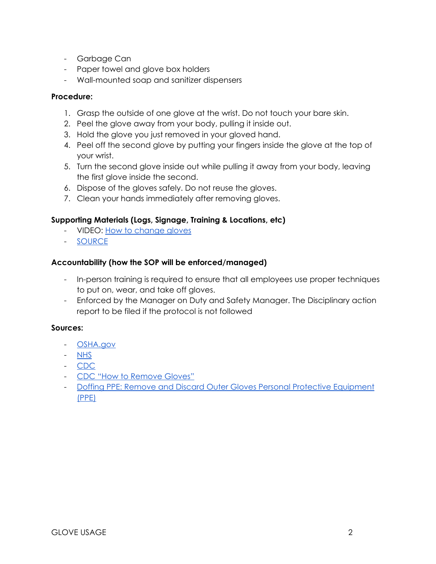- Garbage Can
- Paper towel and glove box holders
- Wall-mounted soap and sanitizer dispensers

## **Procedure:**

- 1. Grasp the outside of one glove at the wrist. Do not touch your bare skin.
- 2. Peel the glove away from your body, pulling it inside out.
- 3. Hold the glove you just removed in your gloved hand.
- 4. Peel off the second glove by putting your fingers inside the glove at the top of your wrist.
- 5. Turn the second glove inside out while pulling it away from your body, leaving the first glove inside the second.
- 6. Dispose of the gloves safely. Do not reuse the gloves.
- 7. Clean your hands immediately after removing gloves.

# **Supporting Materials (Logs, Signage, Training & Locations, etc)**

- VIDEO: [How to change gloves](https://youtu.be/3I_kKVNrEMo)
- [SOURCE](https://www.globus.co.uk/how-to-safely-remove-disposable-gloves)

### **Accountability (how the SOP will be enforced/managed)**

- In-person training is required to ensure that all employees use proper techniques to put on, wear, and take off gloves.
- Enforced by the Manager on Duty and Safety Manager. The Disciplinary action report to be filed if the protocol is not followed

#### **Sources:**

- [OSHA.gov](https://www.osha.gov/SLTC/covid-19/controlprevention.html)
- [NHS](https://www.youtube.com/watch?v=aGJNspLRdrc)
- [CDC](https://www.cdc.gov/handwashing/when-how-handwashing.html)
- [CDC "How to Remove Gloves"](https://www.cdc.gov/vhf/ebola/pdf/poster-how-to-remove-gloves.pdf?fbclid=IwAR0i5PeHnaG7yjcO99Guf6jL2vgbUtsGJz2cna-3gR2NKLsYLzdUFOWnYcY#:~:text=Hold%20the%20glove%20you%20just,Dispose%20of%20the%20gloves%20safely.)
- [Doffing PPE: Remove and Discard Outer Gloves Personal Protective Equipment](https://www.cdc.gov/vhf/ebola/hcp/ppe-training/n95respirator_coveralls/doffing_06.html) [\(PPE\)](https://www.cdc.gov/vhf/ebola/hcp/ppe-training/n95respirator_coveralls/doffing_06.html)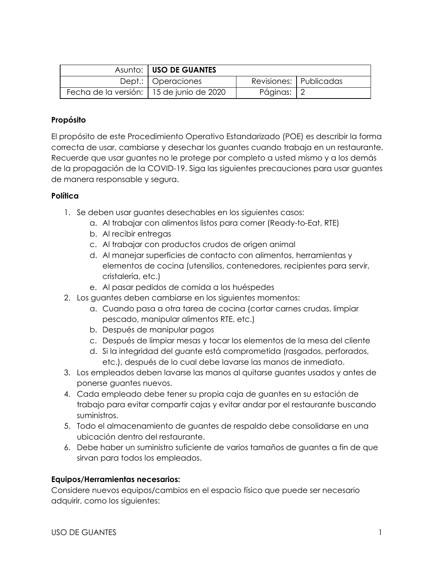|                                            | Asunto:   USO DE GUANTES |              |                          |
|--------------------------------------------|--------------------------|--------------|--------------------------|
|                                            | Dept.:   Operaciones     |              | Revisiones:   Publicadas |
| Fecha de la versión:   15 de junio de 2020 |                          | Páginas:   2 |                          |

## **Propósito**

El propósito de este Procedimiento Operativo Estandarizado (POE) es describir la forma correcta de usar, cambiarse y desechar los guantes cuando trabaja en un restaurante. Recuerde que usar guantes no le protege por completo a usted mismo y a los demás de la propagación de la COVID-19. Siga las siguientes precauciones para usar guantes de manera responsable y segura.

### **Política**

- 1. Se deben usar guantes desechables en los siguientes casos:
	- a. Al trabajar con alimentos listos para comer (Ready-to-Eat, RTE)
	- b. Al recibir entregas
	- c. Al trabajar con productos crudos de origen animal
	- d. Al manejar superficies de contacto con alimentos, herramientas y elementos de cocina (utensilios, contenedores, recipientes para servir, cristalería, etc.)
	- e. Al pasar pedidos de comida a los huéspedes
- 2. Los guantes deben cambiarse en los siguientes momentos:
	- a. Cuando pasa a otra tarea de cocina (cortar carnes crudas, limpiar pescado, manipular alimentos RTE, etc.)
	- b. Después de manipular pagos
	- c. Después de limpiar mesas y tocar los elementos de la mesa del cliente
	- d. Si la integridad del guante está comprometida (rasgados, perforados, etc.), después de lo cual debe lavarse las manos de inmediato.
- 3. Los empleados deben lavarse las manos al quitarse guantes usados y antes de ponerse guantes nuevos.
- 4. Cada empleado debe tener su propia caja de guantes en su estación de trabajo para evitar compartir cajas y evitar andar por el restaurante buscando suministros.
- 5. Todo el almacenamiento de guantes de respaldo debe consolidarse en una ubicación dentro del restaurante.
- 6. Debe haber un suministro suficiente de varios tamaños de guantes a fin de que sirvan para todos los empleados.

# **Equipos/Herramientas necesarios:**

Considere nuevos equipos/cambios en el espacio físico que puede ser necesario adquirir, como los siguientes: